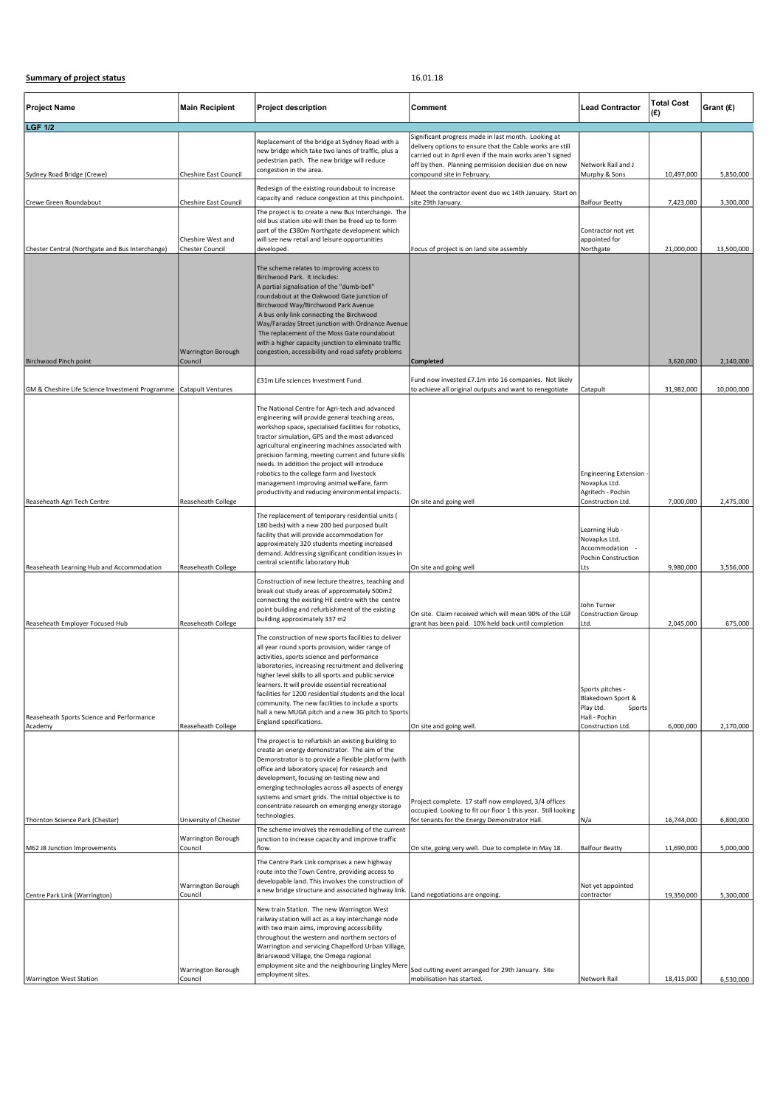## Summary of project status and the status of the status of the status of the status of the status of the status of the status of the status of the status of the status of the status of the status of the status of the status

| <b>Project Name</b>                                  | <b>Main Recipient</b>                       | <b>Project description</b>                                                                                                                                                                                                                                                                                                                                                                                                                                                                                               | Comment                                                                                                                                                                                                                                                             | <b>Lead Contractor</b>                                                                             | <b>Total Cost</b><br>(£) | Grant (£)  |
|------------------------------------------------------|---------------------------------------------|--------------------------------------------------------------------------------------------------------------------------------------------------------------------------------------------------------------------------------------------------------------------------------------------------------------------------------------------------------------------------------------------------------------------------------------------------------------------------------------------------------------------------|---------------------------------------------------------------------------------------------------------------------------------------------------------------------------------------------------------------------------------------------------------------------|----------------------------------------------------------------------------------------------------|--------------------------|------------|
| <b>LGF 1/2</b>                                       |                                             |                                                                                                                                                                                                                                                                                                                                                                                                                                                                                                                          |                                                                                                                                                                                                                                                                     |                                                                                                    |                          |            |
| Sydney Road Bridge (Crewe)                           | Cheshire East Council                       | Replacement of the bridge at Sydney Road with a<br>new bridge which take two lanes of traffic, plus a<br>pedestrian path. The new bridge will reduce<br>congestion in the area.                                                                                                                                                                                                                                                                                                                                          | Significant progress made in last month. Looking at<br>delivery options to ensure that the Cable works are still<br>carried out in April even if the main works aren't signed<br>off by then. Planning permission decision due on new<br>compound site in February. | Network Rail and J<br>Murphy & Sons                                                                | 10,497,000               | 5,850,000  |
| Crewe Green Roundabout                               | Cheshire East Council                       | Redesign of the existing roundabout to increase<br>capacity and reduce congestion at this pinchpoint.                                                                                                                                                                                                                                                                                                                                                                                                                    | Meet the contractor event due wc 14th January. Start on<br>site 29th January.                                                                                                                                                                                       | <b>Balfour Beatty</b>                                                                              | 7,423,000                | 3,300,000  |
| Chester Central (Northgate and Bus Interchange)      | Cheshire West and<br><b>Chester Council</b> | The project is to create a new Bus Interchange. The<br>old bus station site will then be freed up to form<br>part of the £380m Northgate development which<br>will see new retail and leisure opportunities<br>developed.                                                                                                                                                                                                                                                                                                | Focus of project is on land site assembly                                                                                                                                                                                                                           | Contractor not yet<br>appointed for<br>Northgate                                                   | 21,000,000               | 13,500,000 |
| Birchwood Pinch point                                | <b>Warrington Borough</b><br>Council        | The scheme relates to improving access to<br>Birchwood Park. It includes:<br>A partial signalisation of the "dumb-bell"<br>roundabout at the Oakwood Gate junction of<br>Birchwood Way/Birchwood Park Avenue<br>A bus only link connecting the Birchwood<br>Way/Faraday Street junction with Ordnance Avenue<br>The replacement of the Moss Gate roundabout<br>with a higher capacity junction to eliminate traffic<br>congestion, accessibility and road safety problems                                                | Completed                                                                                                                                                                                                                                                           |                                                                                                    | 3,620,000                | 2,140,000  |
| GM & Cheshire Life Science Investment Programme      | Catapult Ventures                           | £31m Life sciences Investment Fund.                                                                                                                                                                                                                                                                                                                                                                                                                                                                                      | Fund now invested £7.1m into 16 companies. Not likely<br>to achieve all original outputs and want to renegotiate                                                                                                                                                    | Catapult                                                                                           | 31,982,000               | 10,000,000 |
| Reaseheath Agri Tech Centre                          | Reaseheath College                          | The National Centre for Agri-tech and advanced<br>engineering will provide general teaching areas,<br>workshop space, specialised facilities for robotics,<br>tractor simulation, GPS and the most advanced<br>agricultural engineering machines associated with<br>precision farming, meeting current and future skills<br>needs. In addition the project will introduce<br>robotics to the college farm and livestock<br>management improving animal welfare, farm<br>productivity and reducing environmental impacts. | On site and going well                                                                                                                                                                                                                                              | <b>Engineering Extension</b><br>Novaplus Ltd.<br>Agritech - Pochin<br>Construction Ltd.            | 7,000,000                | 2,475,000  |
| Reaseheath Learning Hub and Accommodation            | Reaseheath College                          | The replacement of temporary residential units (<br>180 beds) with a new 200 bed purposed built<br>facility that will provide accommodation for<br>approximately 320 students meeting increased<br>demand. Addressing significant condition issues in<br>central scientific laboratory Hub                                                                                                                                                                                                                               | On site and going well                                                                                                                                                                                                                                              | Learning Hub -<br>Novaplus Ltd.<br>Accommodation -<br>Pochin Construction<br>Lts                   | 9,980,000                | 3,556,000  |
| Reaseheath Employer Focused Hub                      | Reaseheath College                          | Construction of new lecture theatres, teaching and<br>break out study areas of approximately 500m2<br>connecting the existing HE centre with the centre<br>point building and refurbishment of the existing<br>building approximately 337 m2                                                                                                                                                                                                                                                                             | On site. Claim received which will mean 90% of the LGF<br>grant has been paid. 10% held back until completion                                                                                                                                                       | John Turner<br><b>Construction Group</b><br>Ltd.                                                   | 2,045,000                | 675,000    |
| Reaseheath Sports Science and Performance<br>Academy | Reaseheath College                          | The construction of new sports facilities to deliver<br>all year round sports provision, wider range of<br>activities, sports science and performance<br>laboratories, increasing recruitment and delivering<br>higher level skills to all sports and public service<br>learners. It will provide essential recreational<br>facilities for 1200 residential students and the local<br>community. The new facilities to include a sports<br>hall a new MUGA pitch and a new 3G pitch to Sports<br>England specifications. | On site and going well.                                                                                                                                                                                                                                             | Sports pitches -<br>Blakedown Sport &<br>Play Ltd.<br>Sports<br>Hall - Pochin<br>Construction Ltd. | 6,000,000                | 2,170,000  |
| Thornton Science Park (Chester)                      | University of Chester                       | The project is to refurbish an existing building to<br>create an energy demonstrator. The aim of the<br>Demonstrator is to provide a flexible platform (with<br>office and laboratory space) for research and<br>development, focusing on testing new and<br>emerging technologies across all aspects of energy<br>systems and smart grids. The initial objective is to<br>concentrate research on emerging energy storage<br>technologies.                                                                              | Project complete. 17 staff now employed, 3/4 offices<br>occupied. Looking to fit our floor 1 this year. Still looking<br>for tenants for the Energy Demonstrator Hall.                                                                                              | N/a                                                                                                | 16,744,000               | 6,800,000  |
|                                                      |                                             | The scheme involves the remodelling of the current                                                                                                                                                                                                                                                                                                                                                                                                                                                                       |                                                                                                                                                                                                                                                                     |                                                                                                    |                          |            |
| M62 J8 Junction Improvements                         | Warrington Borough<br>Council               | junction to increase capacity and improve traffic<br>flow.                                                                                                                                                                                                                                                                                                                                                                                                                                                               | On site, going very well. Due to complete in May 18.                                                                                                                                                                                                                | <b>Balfour Beatty</b>                                                                              | 11,690,000               | 5,000,000  |
| Centre Park Link (Warrington)                        | Warrington Borough<br>Council               | The Centre Park Link comprises a new highway<br>route into the Town Centre, providing access to<br>developable land. This involves the construction of<br>a new bridge structure and associated highway link.                                                                                                                                                                                                                                                                                                            | Land negotiations are ongoing.                                                                                                                                                                                                                                      | Not yet appointed<br>contractor                                                                    | 19,350,000               | 5,300,000  |
| <b>Warrington West Station</b>                       | Warrington Borough<br>Council               | New train Station. The new Warrington West<br>railway station will act as a key interchange node<br>with two main aims, improving accessibility<br>throughout the western and northern sectors of<br>Warrington and servicing Chapelford Urban Village,<br>Briarswood Village, the Omega regional<br>employment site and the neighbouring Lingley Mere<br>employment sites.                                                                                                                                              | Sod cutting event arranged for 29th January. Site<br>mobilisation has started.                                                                                                                                                                                      | Network Rail                                                                                       | 18,415,000               | 6,530,000  |